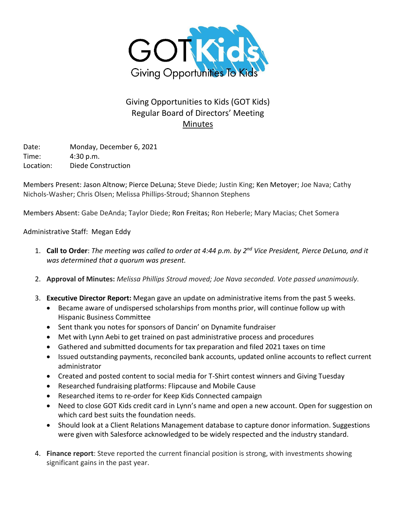

# Giving Opportunities to Kids (GOT Kids) Regular Board of Directors' Meeting Minutes

Date: Monday, December 6, 2021 Time: 4:30 p.m. Location: Diede Construction

Members Present: Jason Altnow; Pierce DeLuna; Steve Diede; Justin King; Ken Metoyer; Joe Nava; Cathy Nichols-Washer; Chris Olsen; Melissa Phillips-Stroud; Shannon Stephens

Members Absent: Gabe DeAnda; Taylor Diede; Ron Freitas; Ron Heberle; Mary Macias; Chet Somera

Administrative Staff: Megan Eddy

- 1. **Call to Order**: *The meeting was called to order at 4:44 p.m. by 2nd Vice President, Pierce DeLuna, and it was determined that a quorum was present.*
- 2. **Approval of Minutes:** *Melissa Phillips Stroud moved; Joe Nava seconded. Vote passed unanimously.*
- 3. **Executive Director Report:** Megan gave an update on administrative items from the past 5 weeks.
	- Became aware of undispersed scholarships from months prior, will continue follow up with Hispanic Business Committee
	- Sent thank you notes for sponsors of Dancin' on Dynamite fundraiser
	- Met with Lynn Aebi to get trained on past administrative process and procedures
	- Gathered and submitted documents for tax preparation and filed 2021 taxes on time
	- Issued outstanding payments, reconciled bank accounts, updated online accounts to reflect current administrator
	- Created and posted content to social media for T-Shirt contest winners and Giving Tuesday
	- Researched fundraising platforms: Flipcause and Mobile Cause
	- Researched items to re-order for Keep Kids Connected campaign
	- Need to close GOT Kids credit card in Lynn's name and open a new account. Open for suggestion on which card best suits the foundation needs.
	- Should look at a Client Relations Management database to capture donor information. Suggestions were given with Salesforce acknowledged to be widely respected and the industry standard.
- 4. **Finance report**: Steve reported the current financial position is strong, with investments showing significant gains in the past year.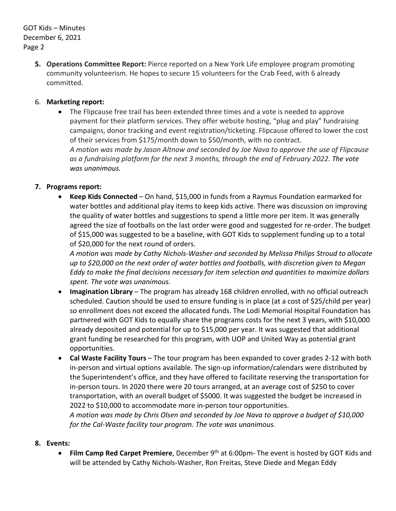**5. Operations Committee Report:** Pierce reported on a New York Life employee program promoting community volunteerism. He hopes to secure 15 volunteers for the Crab Feed, with 6 already committed.

## 6. **Marketing report:**

• The Flipcause free trail has been extended three times and a vote is needed to approve payment for their platform services. They offer website hosting, "plug and play" fundraising campaigns, donor tracking and event registration/ticketing. Flipcause offered to lower the cost of their services from \$175/month down to \$50/month, with no contract. *A motion was made by Jason Altnow and seconded by Joe Nava to approve the use of Flipcause as a fundraising platform for the next 3 months, through the end of February 2022. The vote was unanimous.*

## **7. Programs report:**

• **Keep Kids Connected** – On hand, \$15,000 in funds from a Raymus Foundation earmarked for water bottles and additional play items to keep kids active. There was discussion on improving the quality of water bottles and suggestions to spend a little more per item. It was generally agreed the size of footballs on the last order were good and suggested for re-order. The budget of \$15,000 was suggested to be a baseline, with GOT Kids to supplement funding up to a total of \$20,000 for the next round of orders.

*A motion was made by Cathy Nichols-Washer and seconded by Melissa Philips Stroud to allocate up to \$20,000 on the next order of water bottles and footballs, with discretion given to Megan Eddy to make the final decisions necessary for item selection and quantities to maximize dollars spent. The vote was unanimous.*

- **Imagination Library** The program has already 168 children enrolled, with no official outreach scheduled. Caution should be used to ensure funding is in place (at a cost of \$25/child per year) so enrollment does not exceed the allocated funds. The Lodi Memorial Hospital Foundation has partnered with GOT Kids to equally share the programs costs for the next 3 years, with \$10,000 already deposited and potential for up to \$15,000 per year. It was suggested that additional grant funding be researched for this program, with UOP and United Way as potential grant opportunities.
- **Cal Waste Facility Tours** The tour program has been expanded to cover grades 2-12 with both in-person and virtual options available. The sign-up information/calendars were distributed by the Superintendent's office, and they have offered to facilitate reserving the transportation for in-person tours. In 2020 there were 20 tours arranged, at an average cost of \$250 to cover transportation, with an overall budget of \$5000. It was suggested the budget be increased in 2022 to \$10,000 to accommodate more in-person tour opportunities. *A motion was made by Chris Olsen and seconded by Joe Nava to approve a budget of \$10,000 for the Cal-Waste facility tour program. The vote was unanimous.*

#### **8. Events:**

• **Film Camp Red Carpet Premiere**, December 9th at 6:00pm- The event is hosted by GOT Kids and will be attended by Cathy Nichols-Washer, Ron Freitas, Steve Diede and Megan Eddy